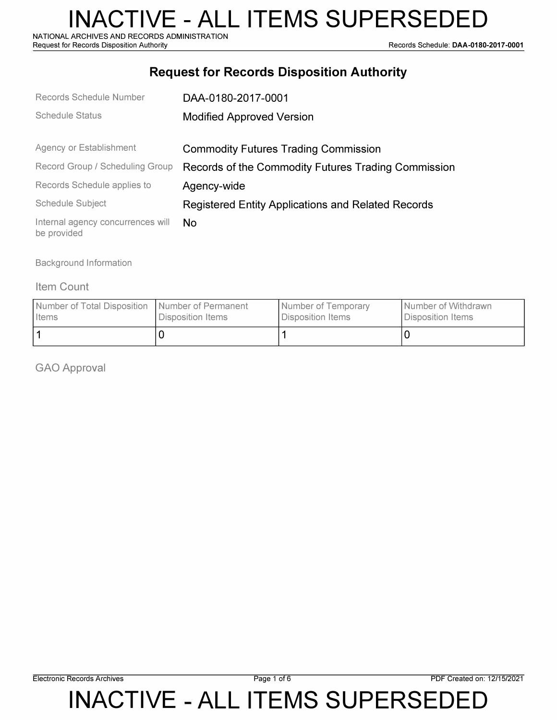NATIONAL ARCHIVES AND RECORDS ADMINISTRATION<br>Request for Records Disposition Authority

Records Schedule: DAA-0180-2017-0001

### **Request for Records Disposition Authority**

| Records Schedule Number                          | DAA-0180-2017-0001                                        |  |
|--------------------------------------------------|-----------------------------------------------------------|--|
| <b>Schedule Status</b>                           | <b>Modified Approved Version</b>                          |  |
|                                                  |                                                           |  |
| Agency or Establishment                          | <b>Commodity Futures Trading Commission</b>               |  |
| Record Group / Scheduling Group                  | Records of the Commodity Futures Trading Commission       |  |
| Records Schedule applies to                      | Agency-wide                                               |  |
| Schedule Subject                                 | <b>Registered Entity Applications and Related Records</b> |  |
| Internal agency concurrences will<br>be provided | No.                                                       |  |

Background Information

#### Item Count

| Number of Total Disposition   Number of Permanent | Disposition Items | Number of Temporary | Number of Withdrawn |
|---------------------------------------------------|-------------------|---------------------|---------------------|
| <b>I</b> Items                                    |                   | Disposition Items   | Disposition Items   |
|                                                   |                   |                     |                     |

GAO Approval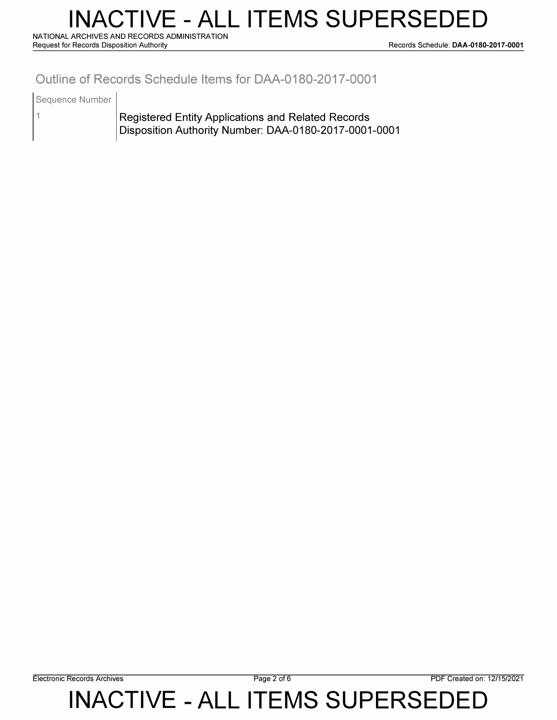## **INACTIVE - ALL ITEMS SUPERSEDED**

**NATIONAL ARCHIVES AND RECORDS ADMINISTRATION** 

**Request for Records Disposition Authority Records Schedule: DAA-0180-2017-0001** 

### **Outline of Records Schedule Items for DAA-0180-2017-0001**

Sequence Number

1

Registered Entity Applications and Related Records Disposition Authority Number: DAA-0180-2017-0001-0001

**Electronic Records Archives Page 2 of6 PDF Created on: 12/15/2021**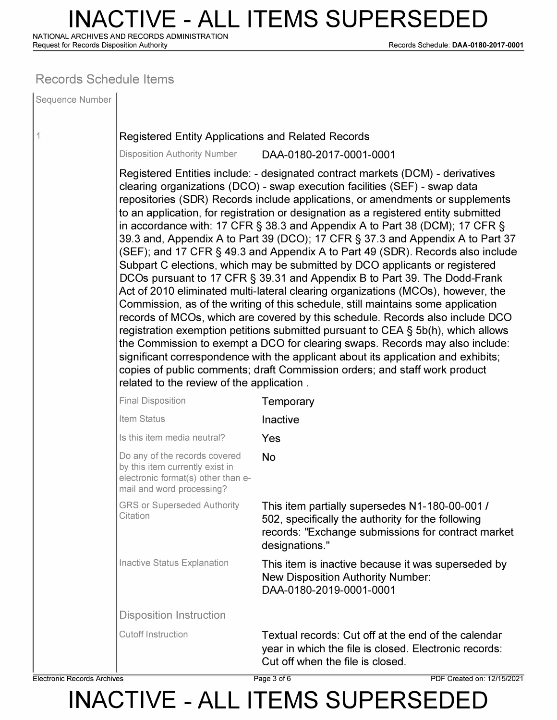# **INACTIVE - ALL ITEMS SUPERSEDED**

**NATIONAL ARCHIVES AND RECORDS ADMINISTRATION** 

**Request for Records Disposition Authority Records Schedule: DAA-0180-2017-0001** 

#### **Records Schedule Items**

| Sequence Number |                                                                                                                                                                                                                                                                                                                                                                                                                                                                                                                                                                                                                                                                                                                                                                                                                                                                                                                                                                                                                                                                                                                                                                                                                                                                                                                                                                                                        |                                                                                                                                                                             |  |  |  |
|-----------------|--------------------------------------------------------------------------------------------------------------------------------------------------------------------------------------------------------------------------------------------------------------------------------------------------------------------------------------------------------------------------------------------------------------------------------------------------------------------------------------------------------------------------------------------------------------------------------------------------------------------------------------------------------------------------------------------------------------------------------------------------------------------------------------------------------------------------------------------------------------------------------------------------------------------------------------------------------------------------------------------------------------------------------------------------------------------------------------------------------------------------------------------------------------------------------------------------------------------------------------------------------------------------------------------------------------------------------------------------------------------------------------------------------|-----------------------------------------------------------------------------------------------------------------------------------------------------------------------------|--|--|--|
|                 | <b>Registered Entity Applications and Related Records</b>                                                                                                                                                                                                                                                                                                                                                                                                                                                                                                                                                                                                                                                                                                                                                                                                                                                                                                                                                                                                                                                                                                                                                                                                                                                                                                                                              |                                                                                                                                                                             |  |  |  |
|                 | <b>Disposition Authority Number</b>                                                                                                                                                                                                                                                                                                                                                                                                                                                                                                                                                                                                                                                                                                                                                                                                                                                                                                                                                                                                                                                                                                                                                                                                                                                                                                                                                                    | DAA-0180-2017-0001-0001                                                                                                                                                     |  |  |  |
|                 | Registered Entities include: - designated contract markets (DCM) - derivatives<br>clearing organizations (DCO) - swap execution facilities (SEF) - swap data<br>repositories (SDR) Records include applications, or amendments or supplements<br>to an application, for registration or designation as a registered entity submitted<br>in accordance with: 17 CFR $\S$ 38.3 and Appendix A to Part 38 (DCM); 17 CFR $\S$<br>39.3 and, Appendix A to Part 39 (DCO); 17 CFR § 37.3 and Appendix A to Part 37<br>(SEF); and 17 CFR § 49.3 and Appendix A to Part 49 (SDR). Records also include<br>Subpart C elections, which may be submitted by DCO applicants or registered<br>DCOs pursuant to 17 CFR § 39.31 and Appendix B to Part 39. The Dodd-Frank<br>Act of 2010 eliminated multi-lateral clearing organizations (MCOs), however, the<br>Commission, as of the writing of this schedule, still maintains some application<br>records of MCOs, which are covered by this schedule. Records also include DCO<br>registration exemption petitions submitted pursuant to CEA § 5b(h), which allows<br>the Commission to exempt a DCO for clearing swaps. Records may also include:<br>significant correspondence with the applicant about its application and exhibits;<br>copies of public comments; draft Commission orders; and staff work product<br>related to the review of the application. |                                                                                                                                                                             |  |  |  |
|                 | <b>Final Disposition</b>                                                                                                                                                                                                                                                                                                                                                                                                                                                                                                                                                                                                                                                                                                                                                                                                                                                                                                                                                                                                                                                                                                                                                                                                                                                                                                                                                                               | Temporary                                                                                                                                                                   |  |  |  |
|                 | Item Status                                                                                                                                                                                                                                                                                                                                                                                                                                                                                                                                                                                                                                                                                                                                                                                                                                                                                                                                                                                                                                                                                                                                                                                                                                                                                                                                                                                            | Inactive                                                                                                                                                                    |  |  |  |
|                 | Is this item media neutral?                                                                                                                                                                                                                                                                                                                                                                                                                                                                                                                                                                                                                                                                                                                                                                                                                                                                                                                                                                                                                                                                                                                                                                                                                                                                                                                                                                            | Yes                                                                                                                                                                         |  |  |  |
|                 | Do any of the records covered<br>by this item currently exist in<br>electronic format(s) other than e-<br>mail and word processing?                                                                                                                                                                                                                                                                                                                                                                                                                                                                                                                                                                                                                                                                                                                                                                                                                                                                                                                                                                                                                                                                                                                                                                                                                                                                    | <b>No</b>                                                                                                                                                                   |  |  |  |
|                 | <b>GRS or Superseded Authority</b><br>Citation                                                                                                                                                                                                                                                                                                                                                                                                                                                                                                                                                                                                                                                                                                                                                                                                                                                                                                                                                                                                                                                                                                                                                                                                                                                                                                                                                         | This item partially supersedes N1-180-00-001 /<br>502, specifically the authority for the following<br>records: "Exchange submissions for contract market<br>designations." |  |  |  |
|                 | <b>Inactive Status Explanation</b>                                                                                                                                                                                                                                                                                                                                                                                                                                                                                                                                                                                                                                                                                                                                                                                                                                                                                                                                                                                                                                                                                                                                                                                                                                                                                                                                                                     | This item is inactive because it was superseded by<br><b>New Disposition Authority Number:</b><br>DAA-0180-2019-0001-0001                                                   |  |  |  |
|                 | <b>Disposition Instruction</b>                                                                                                                                                                                                                                                                                                                                                                                                                                                                                                                                                                                                                                                                                                                                                                                                                                                                                                                                                                                                                                                                                                                                                                                                                                                                                                                                                                         |                                                                                                                                                                             |  |  |  |
|                 | <b>Cutoff Instruction</b>                                                                                                                                                                                                                                                                                                                                                                                                                                                                                                                                                                                                                                                                                                                                                                                                                                                                                                                                                                                                                                                                                                                                                                                                                                                                                                                                                                              | Textual records: Cut off at the end of the calendar<br>year in which the file is closed. Electronic records:<br>Cut off when the file is closed.                            |  |  |  |

**Electronic Records Archives Page 3 of6 PDF Created on: 12/15/2021**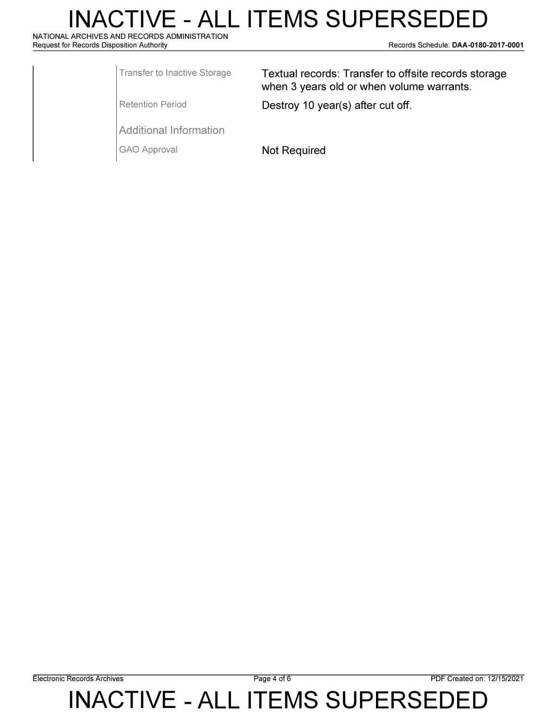# **INACTIVE - ALL ITEMS SUPERSEDED**

**NATIONAL ARCHIVES AND RECORDS ADMINISTRATION** 

**Request for Records Disposition Authority Records Schedule: DAA-0180-2017-0001** 

| Transfer to Inactive Storage | Textual records: Transfer to offsite records storage<br>when 3 years old or when volume warrants. |  |
|------------------------------|---------------------------------------------------------------------------------------------------|--|
| Retention Period             | Destroy 10 year(s) after cut off.                                                                 |  |
| Additional Information       |                                                                                                   |  |

GAO Approval **Not Required**